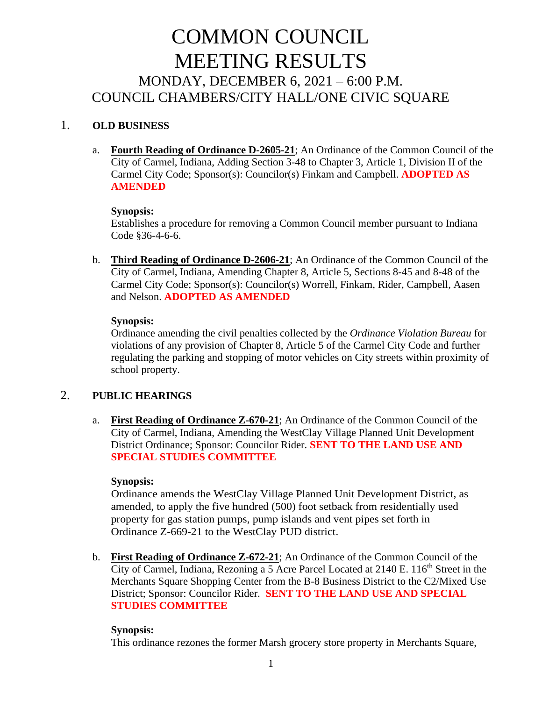# COMMON COUNCIL MEETING RESULTS MONDAY, DECEMBER 6, 2021 – 6:00 P.M. COUNCIL CHAMBERS/CITY HALL/ONE CIVIC SQUARE

# 1. **OLD BUSINESS**

a. **Fourth Reading of Ordinance D-2605-21**; An Ordinance of the Common Council of the City of Carmel, Indiana, Adding Section 3-48 to Chapter 3, Article 1, Division II of the Carmel City Code; Sponsor(s): Councilor(s) Finkam and Campbell. **ADOPTED AS AMENDED**

#### **Synopsis:**

Establishes a procedure for removing a Common Council member pursuant to Indiana Code §36-4-6-6.

b. **Third Reading of Ordinance D-2606-21**; An Ordinance of the Common Council of the City of Carmel, Indiana, Amending Chapter 8, Article 5, Sections 8-45 and 8-48 of the Carmel City Code; Sponsor(s): Councilor(s) Worrell, Finkam, Rider, Campbell, Aasen and Nelson. **ADOPTED AS AMENDED**

#### **Synopsis:**

Ordinance amending the civil penalties collected by the *Ordinance Violation Bureau* for violations of any provision of Chapter 8, Article 5 of the Carmel City Code and further regulating the parking and stopping of motor vehicles on City streets within proximity of school property.

# 2. **PUBLIC HEARINGS**

a. **First Reading of Ordinance Z-670-21**; An Ordinance of the Common Council of the City of Carmel, Indiana, Amending the WestClay Village Planned Unit Development District Ordinance; Sponsor: Councilor Rider. **SENT TO THE LAND USE AND SPECIAL STUDIES COMMITTEE** 

# **Synopsis:**

Ordinance amends the WestClay Village Planned Unit Development District, as amended, to apply the five hundred (500) foot setback from residentially used property for gas station pumps, pump islands and vent pipes set forth in Ordinance Z-669-21 to the WestClay PUD district.

b. **First Reading of Ordinance Z-672-21**; An Ordinance of the Common Council of the City of Carmel, Indiana, Rezoning a 5 Acre Parcel Located at 2140 E. 116<sup>th</sup> Street in the Merchants Square Shopping Center from the B-8 Business District to the C2/Mixed Use District; Sponsor: Councilor Rider. **SENT TO THE LAND USE AND SPECIAL STUDIES COMMITTEE**

# **Synopsis:**

This ordinance rezones the former Marsh grocery store property in Merchants Square,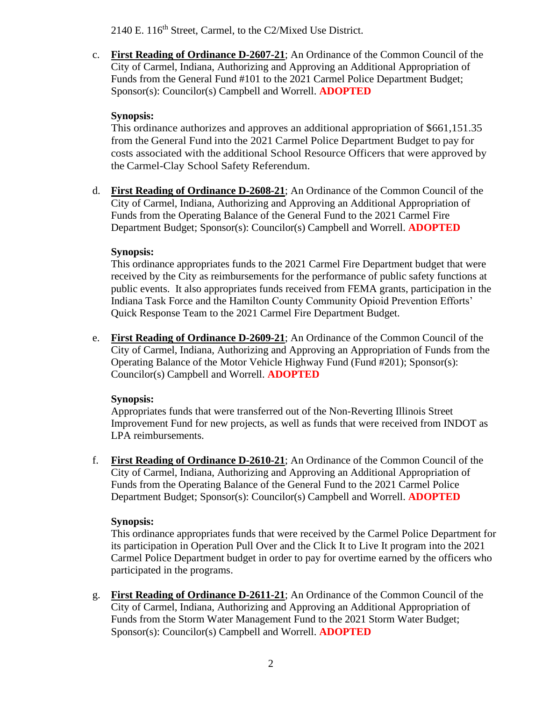2140 E. 116<sup>th</sup> Street, Carmel, to the C2/Mixed Use District.

c. **First Reading of Ordinance D-2607-21**; An Ordinance of the Common Council of the City of Carmel, Indiana, Authorizing and Approving an Additional Appropriation of Funds from the General Fund #101 to the 2021 Carmel Police Department Budget; Sponsor(s): Councilor(s) Campbell and Worrell. **ADOPTED**

## **Synopsis:**

This ordinance authorizes and approves an additional appropriation of \$661,151.35 from the General Fund into the 2021 Carmel Police Department Budget to pay for costs associated with the additional School Resource Officers that were approved by the Carmel-Clay School Safety Referendum.

d. **First Reading of Ordinance D-2608-21**; An Ordinance of the Common Council of the City of Carmel, Indiana, Authorizing and Approving an Additional Appropriation of Funds from the Operating Balance of the General Fund to the 2021 Carmel Fire Department Budget; Sponsor(s): Councilor(s) Campbell and Worrell. **ADOPTED**

# **Synopsis:**

This ordinance appropriates funds to the 2021 Carmel Fire Department budget that were received by the City as reimbursements for the performance of public safety functions at public events. It also appropriates funds received from FEMA grants, participation in the Indiana Task Force and the Hamilton County Community Opioid Prevention Efforts' Quick Response Team to the 2021 Carmel Fire Department Budget.

e. **First Reading of Ordinance D-2609-21**; An Ordinance of the Common Council of the City of Carmel, Indiana, Authorizing and Approving an Appropriation of Funds from the Operating Balance of the Motor Vehicle Highway Fund (Fund #201); Sponsor(s): Councilor(s) Campbell and Worrell. **ADOPTED**

# **Synopsis:**

Appropriates funds that were transferred out of the Non-Reverting Illinois Street Improvement Fund for new projects, as well as funds that were received from INDOT as LPA reimbursements.

f. **First Reading of Ordinance D-2610-21**; An Ordinance of the Common Council of the City of Carmel, Indiana, Authorizing and Approving an Additional Appropriation of Funds from the Operating Balance of the General Fund to the 2021 Carmel Police Department Budget; Sponsor(s): Councilor(s) Campbell and Worrell. **ADOPTED**

# **Synopsis:**

This ordinance appropriates funds that were received by the Carmel Police Department for its participation in Operation Pull Over and the Click It to Live It program into the 2021 Carmel Police Department budget in order to pay for overtime earned by the officers who participated in the programs.

g. **First Reading of Ordinance D-2611-21**; An Ordinance of the Common Council of the City of Carmel, Indiana, Authorizing and Approving an Additional Appropriation of Funds from the Storm Water Management Fund to the 2021 Storm Water Budget; Sponsor(s): Councilor(s) Campbell and Worrell. **ADOPTED**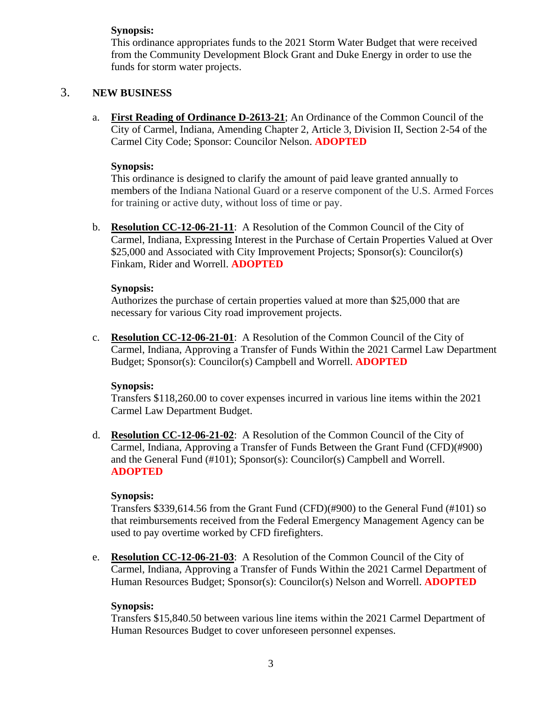# **Synopsis:**

This ordinance appropriates funds to the 2021 Storm Water Budget that were received from the Community Development Block Grant and Duke Energy in order to use the funds for storm water projects.

## 3. **NEW BUSINESS**

a. **First Reading of Ordinance D-2613-21**; An Ordinance of the Common Council of the City of Carmel, Indiana, Amending Chapter 2, Article 3, Division II, Section 2-54 of the Carmel City Code; Sponsor: Councilor Nelson. **ADOPTED**

#### **Synopsis:**

This ordinance is designed to clarify the amount of paid leave granted annually to members of the Indiana National Guard or a reserve component of the U.S. Armed Forces for training or active duty, without loss of time or pay.

b. **Resolution CC-12-06-21-11**: A Resolution of the Common Council of the City of Carmel, Indiana, Expressing Interest in the Purchase of Certain Properties Valued at Over \$25,000 and Associated with City Improvement Projects; Sponsor(s): Councilor(s) Finkam, Rider and Worrell. **ADOPTED**

#### **Synopsis:**

Authorizes the purchase of certain properties valued at more than \$25,000 that are necessary for various City road improvement projects.

c. **Resolution CC-12-06-21-01**: A Resolution of the Common Council of the City of Carmel, Indiana, Approving a Transfer of Funds Within the 2021 Carmel Law Department Budget; Sponsor(s): Councilor(s) Campbell and Worrell. **ADOPTED**

#### **Synopsis:**

Transfers \$118,260.00 to cover expenses incurred in various line items within the 2021 Carmel Law Department Budget.

d. **Resolution CC-12-06-21-02**: A Resolution of the Common Council of the City of Carmel, Indiana, Approving a Transfer of Funds Between the Grant Fund (CFD)(#900) and the General Fund (#101); Sponsor(s): Councilor(s) Campbell and Worrell. **ADOPTED**

#### **Synopsis:**

Transfers \$339,614.56 from the Grant Fund (CFD)(#900) to the General Fund (#101) so that reimbursements received from the Federal Emergency Management Agency can be used to pay overtime worked by CFD firefighters.

e. **Resolution CC-12-06-21-03**: A Resolution of the Common Council of the City of Carmel, Indiana, Approving a Transfer of Funds Within the 2021 Carmel Department of Human Resources Budget; Sponsor(s): Councilor(s) Nelson and Worrell. **ADOPTED**

#### **Synopsis:**

Transfers \$15,840.50 between various line items within the 2021 Carmel Department of Human Resources Budget to cover unforeseen personnel expenses.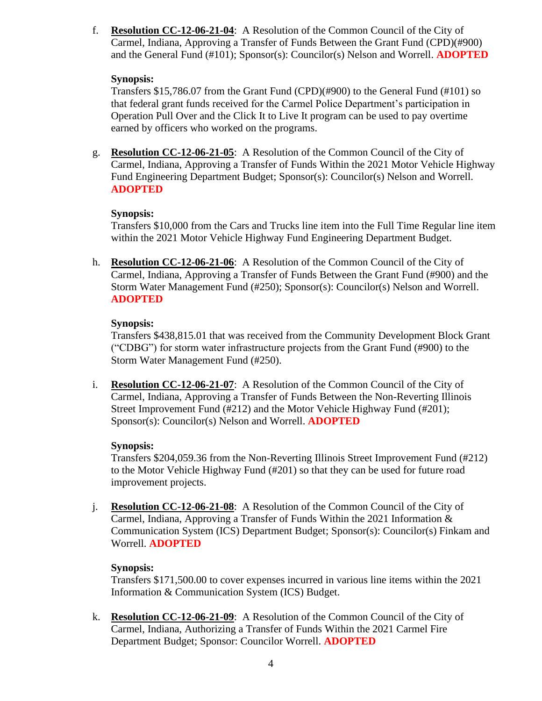f. **Resolution CC-12-06-21-04**: A Resolution of the Common Council of the City of Carmel, Indiana, Approving a Transfer of Funds Between the Grant Fund (CPD)(#900) and the General Fund (#101); Sponsor(s): Councilor(s) Nelson and Worrell. **ADOPTED**

## **Synopsis:**

Transfers \$15,786.07 from the Grant Fund (CPD)(#900) to the General Fund (#101) so that federal grant funds received for the Carmel Police Department's participation in Operation Pull Over and the Click It to Live It program can be used to pay overtime earned by officers who worked on the programs.

g. **Resolution CC-12-06-21-05**: A Resolution of the Common Council of the City of Carmel, Indiana, Approving a Transfer of Funds Within the 2021 Motor Vehicle Highway Fund Engineering Department Budget; Sponsor(s): Councilor(s) Nelson and Worrell. **ADOPTED**

# **Synopsis:**

Transfers \$10,000 from the Cars and Trucks line item into the Full Time Regular line item within the 2021 Motor Vehicle Highway Fund Engineering Department Budget.

h. **Resolution CC-12-06-21-06**: A Resolution of the Common Council of the City of Carmel, Indiana, Approving a Transfer of Funds Between the Grant Fund (#900) and the Storm Water Management Fund (#250); Sponsor(s): Councilor(s) Nelson and Worrell. **ADOPTED**

## **Synopsis:**

Transfers \$438,815.01 that was received from the Community Development Block Grant ("CDBG") for storm water infrastructure projects from the Grant Fund (#900) to the Storm Water Management Fund (#250).

i. **Resolution CC-12-06-21-07**: A Resolution of the Common Council of the City of Carmel, Indiana, Approving a Transfer of Funds Between the Non-Reverting Illinois Street Improvement Fund (#212) and the Motor Vehicle Highway Fund (#201); Sponsor(s): Councilor(s) Nelson and Worrell. **ADOPTED**

# **Synopsis:**

Transfers \$204,059.36 from the Non-Reverting Illinois Street Improvement Fund (#212) to the Motor Vehicle Highway Fund (#201) so that they can be used for future road improvement projects.

j. **Resolution CC-12-06-21-08**: A Resolution of the Common Council of the City of Carmel, Indiana, Approving a Transfer of Funds Within the 2021 Information & Communication System (ICS) Department Budget; Sponsor(s): Councilor(s) Finkam and Worrell. **ADOPTED**

# **Synopsis:**

Transfers \$171,500.00 to cover expenses incurred in various line items within the 2021 Information & Communication System (ICS) Budget.

k. **Resolution CC-12-06-21-09**: A Resolution of the Common Council of the City of Carmel, Indiana, Authorizing a Transfer of Funds Within the 2021 Carmel Fire Department Budget; Sponsor: Councilor Worrell. **ADOPTED**